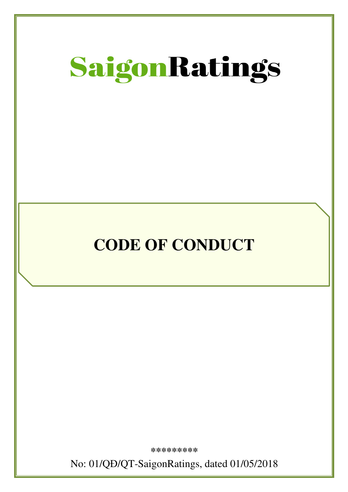

# **CODE OF CONDUCT**

Ī

**\*\*\*\*\*\*\*\*\*** 

No: 01/QĐ/QT-SaigonRatings, dated 01/05/2018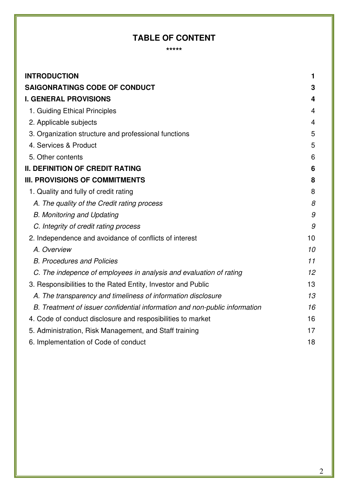## **TABLE OF CONTENT**

**\*\*\*\*\*** 

| <b>INTRODUCTION</b>                                                        | 1  |
|----------------------------------------------------------------------------|----|
| <b>SAIGONRATINGS CODE OF CONDUCT</b>                                       | 3  |
| <b>I. GENERAL PROVISIONS</b>                                               | 4  |
| 1. Guiding Ethical Principles                                              | 4  |
| 2. Applicable subjects                                                     | 4  |
| 3. Organization structure and professional functions                       | 5  |
| 4. Services & Product                                                      | 5  |
| 5. Other contents                                                          | 6  |
| <b>II. DEFINITION OF CREDIT RATING</b>                                     | 6  |
| <b>III. PROVISIONS OF COMMITMENTS</b>                                      | 8  |
| 1. Quality and fully of credit rating                                      | 8  |
| A. The quality of the Credit rating process                                | 8  |
| <b>B. Monitoring and Updating</b>                                          | 9  |
| C. Integrity of credit rating process                                      | 9  |
| 2. Independence and avoidance of conflicts of interest                     | 10 |
| A. Overview                                                                | 10 |
| <b>B. Procedures and Policies</b>                                          | 11 |
| C. The indepence of employees in analysis and evaluation of rating         | 12 |
| 3. Responsibilities to the Rated Entity, Investor and Public               | 13 |
| A. The transparency and timeliness of information disclosure               | 13 |
| B. Treatment of issuer confidential information and non-public information | 16 |
| 4. Code of conduct disclosure and resposibilities to market                | 16 |
| 5. Administration, Risk Management, and Staff training                     | 17 |
| 6. Implementation of Code of conduct                                       | 18 |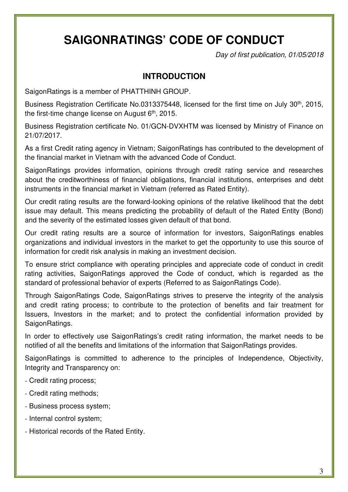## **SAIGONRATINGS' CODE OF CONDUCT**

Day of first publication, 01/05/2018

### **INTRODUCTION**

SaigonRatings is a member of PHATTHINH GROUP.

Business Registration Certificate No.0313375448, licensed for the first time on July 30<sup>th</sup>, 2015, the first-time change license on August 6<sup>th</sup>, 2015.

Business Registration certificate No. 01/GCN-DVXHTM was licensed by Ministry of Finance on 21/07/2017.

As a first Credit rating agency in Vietnam; SaigonRatings has contributed to the development of the financial market in Vietnam with the advanced Code of Conduct.

SaigonRatings provides information, opinions through credit rating service and researches about the creditworthiness of financial obligations, financial institutions, enterprises and debt instruments in the financial market in Vietnam (referred as Rated Entity).

Our credit rating results are the forward-looking opinions of the relative likelihood that the debt issue may default. This means predicting the probability of default of the Rated Entity (Bond) and the severity of the estimated losses given default of that bond.

Our credit rating results are a source of information for investors, SaigonRatings enables organizations and individual investors in the market to get the opportunity to use this source of information for credit risk analysis in making an investment decision.

To ensure strict compliance with operating principles and appreciate code of conduct in credit rating activities, SaigonRatings approved the Code of conduct, which is regarded as the standard of professional behavior of experts (Referred to as SaigonRatings Code).

Through SaigonRatings Code, SaigonRatings strives to preserve the integrity of the analysis and credit rating process; to contribute to the protection of benefits and fair treatment for Issuers, Investors in the market; and to protect the confidential information provided by SaigonRatings.

In order to effectively use SaigonRatings's credit rating information, the market needs to be notified of all the benefits and limitations of the information that SaigonRatings provides.

SaigonRatings is committed to adherence to the principles of Independence, Objectivity, Integrity and Transparency on:

- Credit rating process;
- Credit rating methods;
- Business process system;
- Internal control system;
- Historical records of the Rated Entity.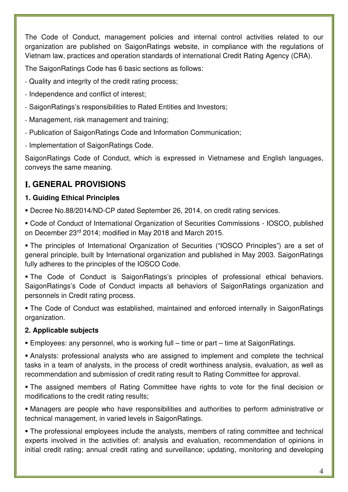The Code of Conduct, management policies and internal control activities related to our organization are published on SaigonRatings website, in compliance with the regulations of Vietnam law, practices and operation standards of international Credit Rating Agency (CRA).

The SaigonRatings Code has 6 basic sections as follows:

- Quality and integrity of the credit rating process;
- Independence and conflict of interest;
- SaigonRatings's responsibilities to Rated Entities and Investors;
- Management, risk management and training;
- Publication of SaigonRatings Code and Information Communication;
- Implementation of SaigonRatings Code.

SaigonRatings Code of Conduct, which is expressed in Vietnamese and English languages, conveys the same meaning.

## **GENERAL PROVISIONS**

#### **1. Guiding Ethical Principles**

Decree No.88/2014/ND-CP dated September 26, 2014, on credit rating services.

 Code of Conduct of International Organization of Securities Commissions - IOSCO, published on December 23rd 2014; modified in May 2018 and March 2015.

 The principles of International Organization of Securities ("IOSCO Principles") are a set of general principle, built by International organization and published in May 2003. SaigonRatings fully adheres to the principles of the IOSCO Code.

 The Code of Conduct is SaigonRatings's principles of professional ethical behaviors. SaigonRatings's Code of Conduct impacts all behaviors of SaigonRatings organization and personnels in Credit rating process.

 The Code of Conduct was established, maintained and enforced internally in SaigonRatings organization.

#### **2. Applicable subjects**

Employees: any personnel, who is working full – time or part – time at SaigonRatings.

 Analysts: professional analysts who are assigned to implement and complete the technical tasks in a team of analysts, in the process of credit worthiness analysis, evaluation, as well as recommendation and submission of credit rating result to Rating Committee for approval.

 The assigned members of Rating Committee have rights to vote for the final decision or modifications to the credit rating results;

 Managers are people who have responsibilities and authorities to perform administrative or technical management, in varied levels in SaigonRatings.

 The professional employees include the analysts, members of rating committee and technical experts involved in the activities of: analysis and evaluation, recommendation of opinions in initial credit rating; annual credit rating and surveillance; updating, monitoring and developing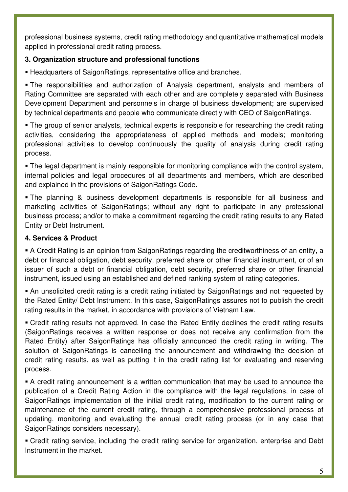professional business systems, credit rating methodology and quantitative mathematical models applied in professional credit rating process.

#### **3. Organization structure and professional functions**

Headquarters of SaigonRatings, representative office and branches.

 The responsibilities and authorization of Analysis department, analysts and members of Rating Committee are separated with each other and are completely separated with Business Development Department and personnels in charge of business development; are supervised by technical departments and people who communicate directly with CEO of SaigonRatings.

 The group of senior analysts, technical experts is responsible for researching the credit rating activities, considering the appropriateness of applied methods and models; monitoring professional activities to develop continuously the quality of analysis during credit rating process.

 The legal department is mainly responsible for monitoring compliance with the control system, internal policies and legal procedures of all departments and members, which are described and explained in the provisions of SaigonRatings Code.

 The planning & business development departments is responsible for all business and marketing activities of SaigonRatings; without any right to participate in any professional business process; and/or to make a commitment regarding the credit rating results to any Rated Entity or Debt Instrument.

#### **4. Services & Product**

 A Credit Rating is an opinion from SaigonRatings regarding the creditworthiness of an entity, a debt or financial obligation, debt security, preferred share or other financial instrument, or of an issuer of such a debt or financial obligation, debt security, preferred share or other financial instrument, issued using an established and defined ranking system of rating categories.

 An unsolicited credit rating is a credit rating initiated by SaigonRatings and not requested by the Rated Entity/ Debt Instrument. In this case, SaigonRatings assures not to publish the credit rating results in the market, in accordance with provisions of Vietnam Law.

 Credit rating results not approved. In case the Rated Entity declines the credit rating results (SaigonRatings receives a written response or does not receive any confirmation from the Rated Entity) after SaigonRatings has officially announced the credit rating in writing. The solution of SaigonRatings is cancelling the announcement and withdrawing the decision of credit rating results, as well as putting it in the credit rating list for evaluating and reserving process.

 A credit rating announcement is a written communication that may be used to announce the publication of a Credit Rating Action in the compliance with the legal regulations, in case of SaigonRatings implementation of the initial credit rating, modification to the current rating or maintenance of the current credit rating, through a comprehensive professional process of updating, monitoring and evaluating the annual credit rating process (or in any case that SaigonRatings considers necessary).

 Credit rating service, including the credit rating service for organization, enterprise and Debt Instrument in the market.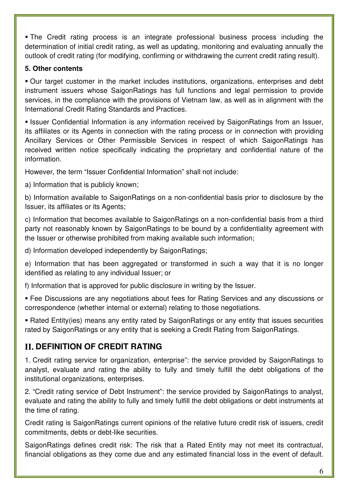The Credit rating process is an integrate professional business process including the determination of initial credit rating, as well as updating, monitoring and evaluating annually the outlook of credit rating (for modifying, confirming or withdrawing the current credit rating result).

#### **5. Other contents**

 Our target customer in the market includes institutions, organizations, enterprises and debt instrument issuers whose SaigonRatings has full functions and legal permission to provide services, in the compliance with the provisions of Vietnam law, as well as in alignment with the International Credit Rating Standards and Practices.

**Example 1 Issuer Confidential Information is any information received by SaigonRatings from an Issuer,** its affiliates or its Agents in connection with the rating process or in connection with providing Ancillary Services or Other Permissible Services in respect of which SaigonRatings has received written notice specifically indicating the proprietary and confidential nature of the information.

However, the term "Issuer Confidential Information" shall not include:

a) Information that is publicly known;

b) Information available to SaigonRatings on a non-confidential basis prior to disclosure by the Issuer, its affiliates or its Agents;

c) Information that becomes available to SaigonRatings on a non-confidential basis from a third party not reasonably known by SaigonRatings to be bound by a confidentiality agreement with the Issuer or otherwise prohibited from making available such information;

d) Information developed independently by SaigonRatings;

e) Information that has been aggregated or transformed in such a way that it is no longer identified as relating to any individual Issuer; or

f) Information that is approved for public disclosure in writing by the Issuer.

 Fee Discussions are any negotiations about fees for Rating Services and any discussions or correspondence (whether internal or external) relating to those negotiations.

 Rated Entity(ies) means any entity rated by SaigonRatings or any entity that issues securities rated by SaigonRatings or any entity that is seeking a Credit Rating from SaigonRatings.

## **DEFINITION OF CREDIT RATING**

1. Credit rating service for organization, enterprise": the service provided by SaigonRatings to analyst, evaluate and rating the ability to fully and timely fulfill the debt obligations of the institutional organizations, enterprises.

2. "Credit rating service of Debt Instrument": the service provided by SaigonRatings to analyst, evaluate and rating the ability to fully and timely fulfill the debt obligations or debt instruments at the time of rating.

Credit rating is SaigonRatings current opinions of the relative future credit risk of issuers, credit commitments, debts or debt-like securities.

SaigonRatings defines credit risk: The risk that a Rated Entity may not meet its contractual, financial obligations as they come due and any estimated financial loss in the event of default.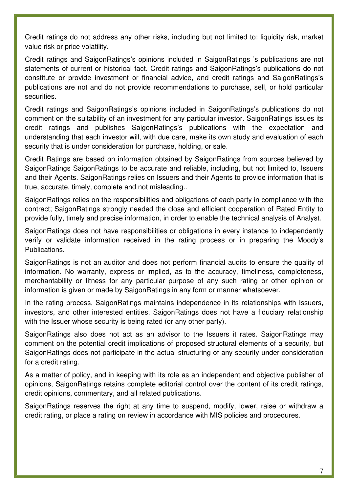Credit ratings do not address any other risks, including but not limited to: liquidity risk, market value risk or price volatility.

Credit ratings and SaigonRatings's opinions included in SaigonRatings 's publications are not statements of current or historical fact. Credit ratings and SaigonRatings's publications do not constitute or provide investment or financial advice, and credit ratings and SaigonRatings's publications are not and do not provide recommendations to purchase, sell, or hold particular securities.

Credit ratings and SaigonRatings's opinions included in SaigonRatings's publications do not comment on the suitability of an investment for any particular investor. SaigonRatings issues its credit ratings and publishes SaigonRatings's publications with the expectation and understanding that each investor will, with due care, make its own study and evaluation of each security that is under consideration for purchase, holding, or sale.

Credit Ratings are based on information obtained by SaigonRatings from sources believed by SaigonRatings SaigonRatings to be accurate and reliable, including, but not limited to, Issuers and their Agents. SaigonRatings relies on Issuers and their Agents to provide information that is true, accurate, timely, complete and not misleading..

SaigonRatings relies on the responsibilities and obligations of each party in compliance with the contract; SaigonRatings strongly needed the close and efficient cooperation of Rated Entity to provide fully, timely and precise information, in order to enable the technical analysis of Analyst.

SaigonRatings does not have responsibilities or obligations in every instance to independently verify or validate information received in the rating process or in preparing the Moody's Publications.

SaigonRatings is not an auditor and does not perform financial audits to ensure the quality of information. No warranty, express or implied, as to the accuracy, timeliness, completeness, merchantability or fitness for any particular purpose of any such rating or other opinion or information is given or made by SaigonRatings in any form or manner whatsoever.

In the rating process, SaigonRatings maintains independence in its relationships with Issuers, investors, and other interested entities. SaigonRatings does not have a fiduciary relationship with the Issuer whose security is being rated (or any other party).

SaigonRatings also does not act as an advisor to the Issuers it rates. SaigonRatings may comment on the potential credit implications of proposed structural elements of a security, but SaigonRatings does not participate in the actual structuring of any security under consideration for a credit rating.

As a matter of policy, and in keeping with its role as an independent and objective publisher of opinions, SaigonRatings retains complete editorial control over the content of its credit ratings, credit opinions, commentary, and all related publications.

SaigonRatings reserves the right at any time to suspend, modify, lower, raise or withdraw a credit rating, or place a rating on review in accordance with MIS policies and procedures.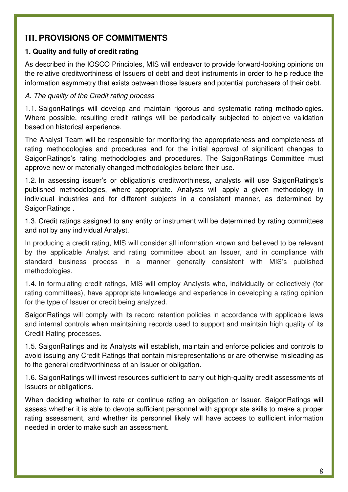## **III. PROVISIONS OF COMMITMENTS**

#### **1. Quality and fully of credit rating**

As described in the IOSCO Principles, MIS will endeavor to provide forward-looking opinions on the relative creditworthiness of Issuers of debt and debt instruments in order to help reduce the information asymmetry that exists between those Issuers and potential purchasers of their debt.

#### A. The quality of the Credit rating process

1.1. SaigonRatings will develop and maintain rigorous and systematic rating methodologies. Where possible, resulting credit ratings will be periodically subjected to objective validation based on historical experience.

The Analyst Team will be responsible for monitoring the appropriateness and completeness of rating methodologies and procedures and for the initial approval of significant changes to SaigonRatings's rating methodologies and procedures. The SaigonRatings Committee must approve new or materially changed methodologies before their use.

1.2. In assessing issuer's or obligation's creditworthiness, analysts will use SaigonRatings's published methodologies, where appropriate. Analysts will apply a given methodology in individual industries and for different subjects in a consistent manner, as determined by SaigonRatings .

1.3. Credit ratings assigned to any entity or instrument will be determined by rating committees and not by any individual Analyst.

In producing a credit rating, MIS will consider all information known and believed to be relevant by the applicable Analyst and rating committee about an Issuer, and in compliance with standard business process in a manner generally consistent with MIS's published methodologies.

1.4. In formulating credit ratings, MIS will employ Analysts who, individually or collectively (for rating committees), have appropriate knowledge and experience in developing a rating opinion for the type of Issuer or credit being analyzed.

SaigonRatings will comply with its record retention policies in accordance with applicable laws and internal controls when maintaining records used to support and maintain high quality of its Credit Rating processes.

1.5. SaigonRatings and its Analysts will establish, maintain and enforce policies and controls to avoid issuing any Credit Ratings that contain misrepresentations or are otherwise misleading as to the general creditworthiness of an Issuer or obligation.

1.6. SaigonRatings will invest resources sufficient to carry out high-quality credit assessments of Issuers or obligations.

When deciding whether to rate or continue rating an obligation or Issuer, SaigonRatings will assess whether it is able to devote sufficient personnel with appropriate skills to make a proper rating assessment, and whether its personnel likely will have access to sufficient information needed in order to make such an assessment.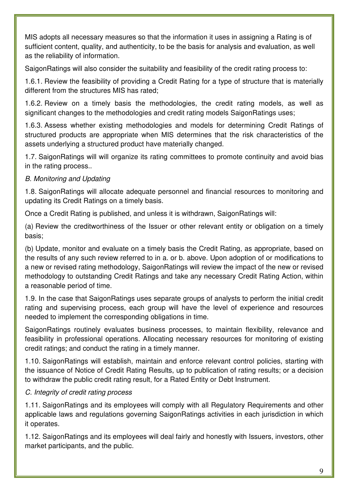MIS adopts all necessary measures so that the information it uses in assigning a Rating is of sufficient content, quality, and authenticity, to be the basis for analysis and evaluation, as well as the reliability of information.

SaigonRatings will also consider the suitability and feasibility of the credit rating process to:

1.6.1. Review the feasibility of providing a Credit Rating for a type of structure that is materially different from the structures MIS has rated;

1.6.2. Review on a timely basis the methodologies, the credit rating models, as well as significant changes to the methodologies and credit rating models SaigonRatings uses;

1.6.3. Assess whether existing methodologies and models for determining Credit Ratings of structured products are appropriate when MIS determines that the risk characteristics of the assets underlying a structured product have materially changed.

1.7. SaigonRatings will will organize its rating committees to promote continuity and avoid bias in the rating process..

#### B. Monitoring and Updating

1.8. SaigonRatings will allocate adequate personnel and financial resources to monitoring and updating its Credit Ratings on a timely basis.

Once a Credit Rating is published, and unless it is withdrawn, SaigonRatings will:

(a) Review the creditworthiness of the Issuer or other relevant entity or obligation on a timely basis;

(b) Update, monitor and evaluate on a timely basis the Credit Rating, as appropriate, based on the results of any such review referred to in a. or b. above. Upon adoption of or modifications to a new or revised rating methodology, SaigonRatings will review the impact of the new or revised methodology to outstanding Credit Ratings and take any necessary Credit Rating Action, within a reasonable period of time.

1.9. In the case that SaigonRatings uses separate groups of analysts to perform the initial credit rating and supervising process, each group will have the level of experience and resources needed to implement the corresponding obligations in time.

SaigonRatings routinely evaluates business processes, to maintain flexibility, relevance and feasibility in professional operations. Allocating necessary resources for monitoring of existing credit ratings; and conduct the rating in a timely manner.

1.10. SaigonRatings will establish, maintain and enforce relevant control policies, starting with the issuance of Notice of Credit Rating Results, up to publication of rating results; or a decision to withdraw the public credit rating result, for a Rated Entity or Debt Instrument.

#### C. Integrity of credit rating process

1.11. SaigonRatings and its employees will comply with all Regulatory Requirements and other applicable laws and regulations governing SaigonRatings activities in each jurisdiction in which it operates.

1.12. SaigonRatings and its employees will deal fairly and honestly with Issuers, investors, other market participants, and the public.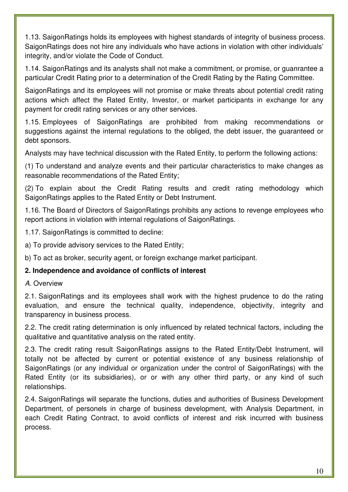1.13. SaigonRatings holds its employees with highest standards of integrity of business process. SaigonRatings does not hire any individuals who have actions in violation with other individuals' integrity, and/or violate the Code of Conduct.

1.14. SaigonRatings and its analysts shall not make a commitment, or promise, or guanrantee a particular Credit Rating prior to a determination of the Credit Rating by the Rating Committee.

SaigonRatings and its employees will not promise or make threats about potential credit rating actions which affect the Rated Entity, Investor, or market participants in exchange for any payment for credit rating services or any other services.

1.15. Employees of SaigonRatings are prohibited from making recommendations or suggestions against the internal regulations to the obliged, the debt issuer, the guaranteed or debt sponsors.

Analysts may have technical discussion with the Rated Entity, to perform the following actions:

(1) To understand and analyze events and their particular characteristics to make changes as reasonable recommendations of the Rated Entity;

(2) To explain about the Credit Rating results and credit rating methodology which SaigonRatings applies to the Rated Entity or Debt Instrument.

1.16. The Board of Directors of SaigonRatings prohibits any actions to revenge employees who report actions in violation with internal regulations of SaigonRatings.

1.17. SaigonRatings is committed to decline:

a) To provide advisory services to the Rated Entity;

b) To act as broker, security agent, or foreign exchange market participant.

#### **2. Independence and avoidance of conflicts of interest**

#### A. Overview

2.1. SaigonRatings and its employees shall work with the highest prudence to do the rating evaluation, and ensure the technical quality, independence, objectivity, integrity and transparency in business process.

2.2. The credit rating determination is only influenced by related technical factors, including the qualitative and quantitative analysis on the rated entity.

2.3. The credit rating result SaigonRatings assigns to the Rated Entity/Debt Instrument, will totally not be affected by current or potential existence of any business relationship of SaigonRatings (or any individual or organization under the control of SaigonRatings) with the Rated Entity (or its subsidiaries), or or with any other third party, or any kind of such relationships.

2.4. SaigonRatings will separate the functions, duties and authorities of Business Development Department, of personels in charge of business development, with Analysis Department, in each Credit Rating Contract, to avoid conflicts of interest and risk incurred with business process.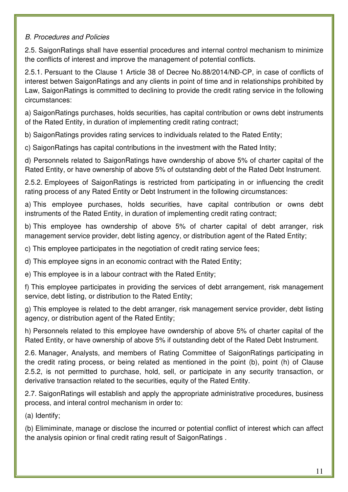#### B. Procedures and Policies

2.5. SaigonRatings shall have essential procedures and internal control mechanism to minimize the conflicts of interest and improve the management of potential conflicts.

2.5.1. Persuant to the Clause 1 Article 38 of Decree No.88/2014/NĐ-CP, in case of conflicts of interest betwen SaigonRatings and any clients in point of time and in relationships prohibited by Law, SaigonRatings is committed to declining to provide the credit rating service in the following circumstances:

a) SaigonRatings purchases, holds securities, has capital contribution or owns debt instruments of the Rated Entity, in duration of implementing credit rating contract;

b) SaigonRatings provides rating services to individuals related to the Rated Entity;

c) SaigonRatings has capital contributions in the investment with the Rated Intity;

d) Personnels related to SaigonRatings have owndership of above 5% of charter capital of the Rated Entity, or have ownership of above 5% of outstanding debt of the Rated Debt Instrument.

2.5.2. Employees of SaigonRatings is restricted from participating in or influencing the credit rating process of any Rated Entity or Debt Instrument in the following circumstances:

a) This employee purchases, holds securities, have capital contribution or owns debt instruments of the Rated Entity, in duration of implementing credit rating contract;

b) This employee has owndership of above 5% of charter capital of debt arranger, risk management service provider, debt listing agency, or distribution agent of the Rated Entity;

c) This employee participates in the negotiation of credit rating service fees;

d) This employee signs in an economic contract with the Rated Entity;

e) This employee is in a labour contract with the Rated Entity;

f) This employee participates in providing the services of debt arrangement, risk management service, debt listing, or distribution to the Rated Entity;

g) This employee is related to the debt arranger, risk management service provider, debt listing agency, or distribution agent of the Rated Entity;

h) Personnels related to this employee have owndership of above 5% of charter capital of the Rated Entity, or have ownership of above 5% if outstanding debt of the Rated Debt Instrument.

2.6. Manager, Analysts, and members of Rating Committee of SaigonRatings participating in the credit rating process, or being related as mentioned in the point (b), point (h) of Clause 2.5.2, is not permitted to purchase, hold, sell, or participate in any security transaction, or derivative transaction related to the securities, equity of the Rated Entity.

2.7. SaigonRatings will establish and apply the appropriate administrative procedures, business process, and interal control mechanism in order to:

(a) Identify;

(b) Elimiminate, manage or disclose the incurred or potential conflict of interest which can affect the analysis opinion or final credit rating result of SaigonRatings .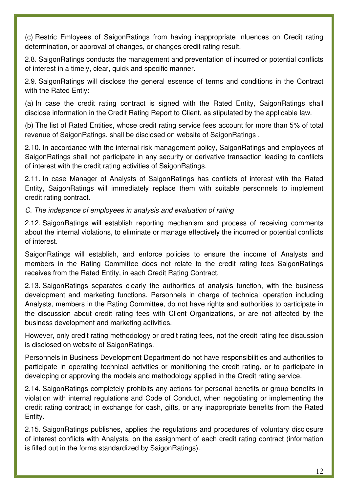(c) Restric Emloyees of SaigonRatings from having inappropriate inluences on Credit rating determination, or approval of changes, or changes credit rating result.

2.8. SaigonRatings conducts the management and preventation of incurred or potential conflicts of interest in a timely, clear, quick and specific manner.

2.9. SaigonRatings will disclose the general essence of terms and conditions in the Contract with the Rated Entiy:

(a) In case the credit rating contract is signed with the Rated Entity, SaigonRatings shall disclose information in the Credit Rating Report to Client, as stipulated by the applicable law.

(b) The list of Rated Entities, whose credit rating service fees account for more than 5% of total revenue of SaigonRatings, shall be disclosed on website of SaigonRatings .

2.10. In accordance with the internal risk management policy, SaigonRatings and employees of SaigonRatings shall not participate in any security or derivative transaction leading to conflicts of interest with the credit rating activities of SaigonRatings.

2.11. In case Manager of Analysts of SaigonRatings has conflicts of interest with the Rated Entity, SaigonRatings will immediately replace them with suitable personnels to implement credit rating contract.

#### C. The indepence of employees in analysis and evaluation of rating

2.12. SaigonRatings will establish reporting mechanism and process of receiving comments about the internal violations, to eliminate or manage effectively the incurred or potential conflicts of interest.

SaigonRatings will establish, and enforce policies to ensure the income of Analysts and members in the Rating Committee does not relate to the credit rating fees SaigonRatings receives from the Rated Entity, in each Credit Rating Contract.

2.13. SaigonRatings separates clearly the authorities of analysis function, with the business development and marketing functions. Personnels in charge of technical operation including Analysts, members in the Rating Committee, do not have rights and authorities to participate in the discussion about credit rating fees with Client Organizations, or are not affected by the business development and marketing activities.

However, only credit rating methodology or credit rating fees, not the credit rating fee discussion is disclosed on website of SaigonRatings.

Personnels in Business Development Department do not have responsibilities and authorities to participate in operating technical activities or monitioning the credit rating, or to participate in developing or approving the models and methodology applied in the Credit rating service.

2.14. SaigonRatings completely prohibits any actions for personal benefits or group benefits in violation with internal regulations and Code of Conduct, when negotiating or implementing the credit rating contract; in exchange for cash, gifts, or any inappropriate benefits from the Rated Entity.

2.15. SaigonRatings publishes, applies the regulations and procedures of voluntary disclosure of interest conflicts with Analysts, on the assignment of each credit rating contract (information is filled out in the forms standardized by SaigonRatings).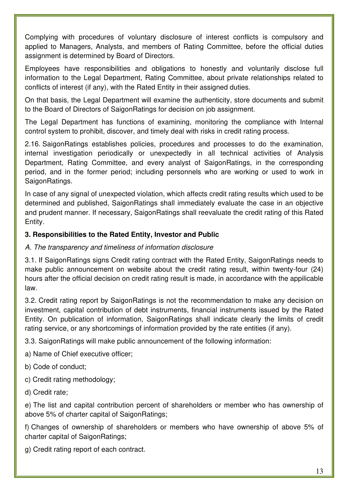Complying with procedures of voluntary disclosure of interest conflicts is compulsory and applied to Managers, Analysts, and members of Rating Committee, before the official duties assignment is determined by Board of Directors.

Employees have responsibilities and obligations to honestly and voluntarily disclose full information to the Legal Department, Rating Committee, about private relationships related to conflicts of interest (if any), with the Rated Entity in their assigned duties.

On that basis, the Legal Department will examine the authenticity, store documents and submit to the Board of Directors of SaigonRatings for decision on job assignment.

The Legal Department has functions of examining, monitoring the compliance with Internal control system to prohibit, discover, and timely deal with risks in credit rating process.

2.16. SaigonRatings establishes policies, procedures and processes to do the examination, internal investigation periodically or unexpectedly in all technical activities of Analysis Department, Rating Committee, and every analyst of SaigonRatings, in the corresponding period, and in the former period; including personnels who are working or used to work in SaigonRatings.

In case of any signal of unexpected violation, which affects credit rating results which used to be determined and published, SaigonRatings shall immediately evaluate the case in an objective and prudent manner. If necessary, SaigonRatings shall reevaluate the credit rating of this Rated Entity.

#### **3. Responsibilities to the Rated Entity, Investor and Public**

#### A. The transparency and timeliness of information disclosure

3.1. If SaigonRatings signs Credit rating contract with the Rated Entity, SaigonRatings needs to make public announcement on website about the credit rating result, within twenty-four (24) hours after the official decision on credit rating result is made, in accordance with the appilicable law.

3.2. Credit rating report by SaigonRatings is not the recommendation to make any decision on investment, capital contribution of debt instruments, financial instruments issued by the Rated Entity. On publication of information, SaigonRatings shall indicate clearly the limits of credit rating service, or any shortcomings of information provided by the rate entities (if any).

3.3. SaigonRatings will make public announcement of the following information:

a) Name of Chief executive officer;

b) Code of conduct;

c) Credit rating methodology;

d) Credit rate;

e) The list and capital contribution percent of shareholders or member who has ownership of above 5% of charter capital of SaigonRatings;

f) Changes of ownership of shareholders or members who have ownership of above 5% of charter capital of SaigonRatings;

g) Credit rating report of each contract.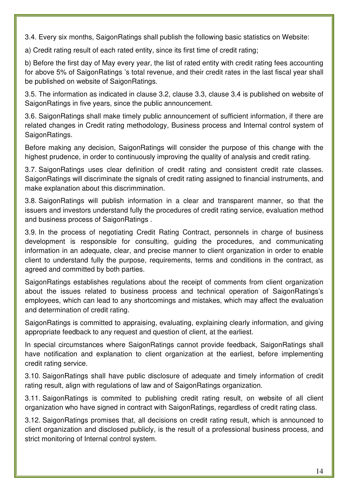3.4. Every six months, SaigonRatings shall publish the following basic statistics on Website:

a) Credit rating result of each rated entity, since its first time of credit rating;

b) Before the first day of May every year, the list of rated entity with credit rating fees accounting for above 5% of SaigonRatings 's total revenue, and their credit rates in the last fiscal year shall be published on website of SaigonRatings.

3.5. The information as indicated in clause 3.2, clause 3.3, clause 3.4 is published on website of SaigonRatings in five years, since the public announcement.

3.6. SaigonRatings shall make timely public announcement of sufficient information, if there are related changes in Credit rating methodology, Business process and Internal control system of SaigonRatings.

Before making any decision, SaigonRatings will consider the purpose of this change with the highest prudence, in order to continuously improving the quality of analysis and credit rating.

3.7. SaigonRatings uses clear definition of credit rating and consistent credit rate classes. SaigonRatings will discriminate the signals of credit rating assigned to financial instruments, and make explanation about this discrimmination.

3.8. SaigonRatings will publish information in a clear and transparent manner, so that the issuers and investors understand fully the procedures of credit rating service, evaluation method and business process of SaigonRatings .

3.9. In the process of negotiating Credit Rating Contract, personnels in charge of business development is responsible for consulting, guiding the procedures, and communicating information in an adequate, clear, and precise manner to client organization in order to enable client to understand fully the purpose, requirements, terms and conditions in the contract, as agreed and committed by both parties.

SaigonRatings establishes regulations about the receipt of comments from client organization about the issues related to business process and technical operation of SaigonRatings's employees, which can lead to any shortcomings and mistakes, which may affect the evaluation and determination of credit rating.

SaigonRatings is committed to appraising, evaluating, explaining clearly information, and giving appropriate feedback to any request and question of client, at the earliest.

In special circumstances where SaigonRatings cannot provide feedback, SaigonRatings shall have notification and explanation to client organization at the earliest, before implementing credit rating service.

3.10. SaigonRatings shall have public disclosure of adequate and timely information of credit rating result, align with regulations of law and of SaigonRatings organization.

3.11. SaigonRatings is commited to publishing credit rating result, on website of all client organization who have signed in contract with SaigonRatings, regardless of credit rating class.

3.12. SaigonRatings promises that, all decisions on credit rating result, which is announced to client organization and disclosed publicly, is the result of a professional business process, and strict monitoring of Internal control system.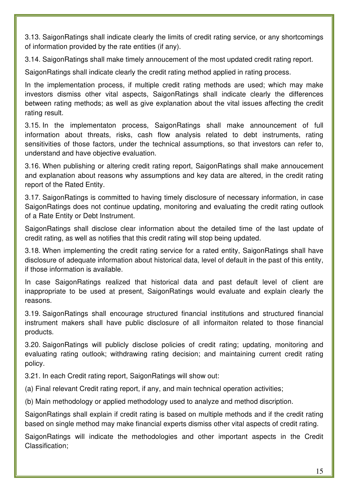3.13. SaigonRatings shall indicate clearly the limits of credit rating service, or any shortcomings of information provided by the rate entities (if any).

3.14. SaigonRatings shall make timely annoucement of the most updated credit rating report.

SaigonRatings shall indicate clearly the credit rating method applied in rating process.

In the implementation process, if multiple credit rating methods are used; which may make investors dismiss other vital aspects, SaigonRatings shall indicate clearly the differences between rating methods; as well as give explanation about the vital issues affecting the credit rating result.

3.15. In the implementaton process, SaigonRatings shall make announcement of full information about threats, risks, cash flow analysis related to debt instruments, rating sensitivities of those factors, under the technical assumptions, so that investors can refer to, understand and have objective evaluation.

3.16. When publishing or altering credit rating report, SaigonRatings shall make annoucement and explanation about reasons why assumptions and key data are altered, in the credit rating report of the Rated Entity.

3.17. SaigonRatings is committed to having timely disclosure of necessary information, in case SaigonRatings does not continue updating, monitoring and evaluating the credit rating outlook of a Rate Entity or Debt Instrument.

SaigonRatings shall disclose clear information about the detailed time of the last update of credit rating, as well as notifies that this credit rating will stop being updated.

3.18. When implementing the credit rating service for a rated entity, SaigonRatings shall have disclosure of adequate information about historical data, level of default in the past of this entity, if those information is available.

In case SaigonRatings realized that historical data and past default level of client are inappropriate to be used at present, SaigonRatings would evaluate and explain clearly the reasons.

3.19. SaigonRatings shall encourage structured financial institutions and structured financial instrument makers shall have public disclosure of all informaiton related to those financial products.

3.20. SaigonRatings will publicly disclose policies of credit rating; updating, monitoring and evaluating rating outlook; withdrawing rating decision; and maintaining current credit rating policy.

3.21. In each Credit rating report, SaigonRatings will show out:

(a) Final relevant Credit rating report, if any, and main technical operation activities;

(b) Main methodology or applied methodology used to analyze and method discription.

SaigonRatings shall explain if credit rating is based on multiple methods and if the credit rating based on single method may make financial experts dismiss other vital aspects of credit rating.

SaigonRatings will indicate the methodologies and other important aspects in the Credit Classification;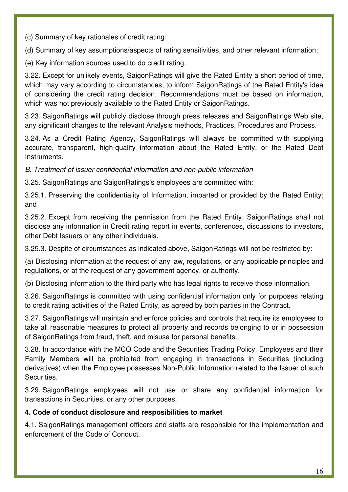(c) Summary of key rationales of credit rating;

(d) Summary of key assumptions/aspects of rating sensitivities, and other relevant information;

(e) Key information sources used to do credit rating.

3.22. Except for unlikely events, SaigonRatings will give the Rated Entity a short period of time, which may vary according to circumstances, to inform SaigonRatings of the Rated Entity's idea of considering the credit rating decision. Recommendations must be based on information, which was not previously available to the Rated Entity or SaigonRatings.

3.23. SaigonRatings will publicly disclose through press releases and SaigonRatings Web site, any significant changes to the relevant Analysis methods, Practices, Procedures and Process.

3.24. As a Credit Rating Agency, SaigonRatings will always be committed with supplying accurate, transparent, high-quality information about the Rated Entity, or the Rated Debt Instruments.

B. Treatment of issuer confidential information and non-public information

3.25. SaigonRatings and SaigonRatings's employees are committed with:

3.25.1. Preserving the confidentiality of Information, imparted or provided by the Rated Entity; and

3.25.2. Except from receiving the permission from the Rated Entity; SaigonRatings shall not disclose any information in Credit rating report in events, conferences, discussions to investors, other Debt Issuers or any other individuals.

3.25.3. Despite of circumstances as indicated above, SaigonRatings will not be restricted by:

(a) Disclosing information at the request of any law, regulations, or any applicable principles and regulations, or at the request of any government agency, or authority.

(b) Disclosing information to the third party who has legal rights to receive those information.

3.26. SaigonRatings is committed with using confidential information only for purposes relating to credit rating activities of the Rated Entity, as agreed by both parties in the Contract.

3.27. SaigonRatings will maintain and enforce policies and controls that require its employees to take all reasonable measures to protect all property and records belonging to or in possession of SaigonRatings from fraud, theft, and misuse for personal benefits.

3.28. In accordance with the MCO Code and the Securities Trading Policy, Employees and their Family Members will be prohibited from engaging in transactions in Securities (including derivatives) when the Employee possesses Non-Public Information related to the Issuer of such Securities.

3.29. SaigonRatings employees will not use or share any confidential information for transactions in Securities, or any other purposes.

#### **4. Code of conduct disclosure and resposibilities to market**

4.1. SaigonRatings management officers and staffs are responsible for the implementation and enforcement of the Code of Conduct.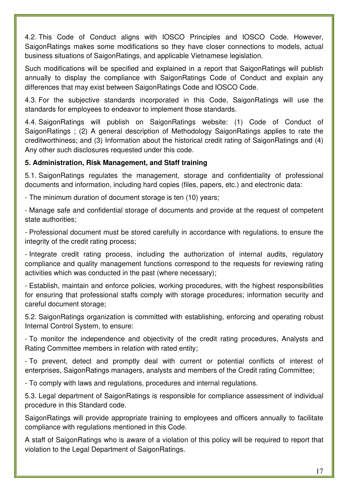4.2. This Code of Conduct aligns with IOSCO Principles and IOSCO Code. However, SaigonRatings makes some modifications so they have closer connections to models, actual business situations of SaigonRatings, and applicable Vietnamese legislation.

Such modifications will be specified and explained in a report that SaigonRatings will publish annually to display the compliance with SaigonRatings Code of Conduct and explain any differences that may exist between SaigonRatings Code and IOSCO Code.

4.3. For the subjective standards incorporated in this Code, SaigonRatings will use the standards for employees to endeavor to implement those standards.

4.4. SaigonRatings will publish on SaigonRatings website: (1) Code of Conduct of SaigonRatings ; (2) A general description of Methodology SaigonRatings applies to rate the creditworthiness; and (3) Information about the historical credit rating of SaigonRatings and (4) Any other such disclosures requested under this code.

#### **5. Administration, Risk Management, and Staff training**

5.1. SaigonRatings regulates the management, storage and confidentiality of professional documents and information, including hard copies (files, papers, etc.) and electronic data:

- The minimum duration of document storage is ten (10) years;

- Manage safe and confidential storage of documents and provide at the request of competent state authorities;

- Professional document must be stored carefully in accordance with regulations, to ensure the integrity of the credit rating process;

- Integrate credit rating process, including the authorization of internal audits, regulatory compliance and quality management functions correspond to the requests for reviewing rating activities which was conducted in the past (where necessary);

- Establish, maintain and enforce policies, working procedures, with the highest responsibilities for ensuring that professional staffs comply with storage procedures; information security and careful document storage;

5.2. SaigonRatings organization is committed with establishing, enforcing and operating robust Internal Control System, to ensure:

- To monitor the independence and objectivity of the credit rating procedures, Analysts and Rating Committee members in relation with rated entity;

- To prevent, detect and promptly deal with current or potential conflicts of interest of enterprises, SaigonRatings managers, analysts and members of the Credit rating Committee;

- To comply with laws and regulations, procedures and internal regulations.

5.3. Legal department of SaigonRatings is responsible for compliance assessment of individual procedure in this Standard code.

SaigonRatings will provide appropriate training to employees and officers annually to facilitate compliance with regulations mentioned in this Code.

A staff of SaigonRatings who is aware of a violation of this policy will be required to report that violation to the Legal Department of SaigonRatings.